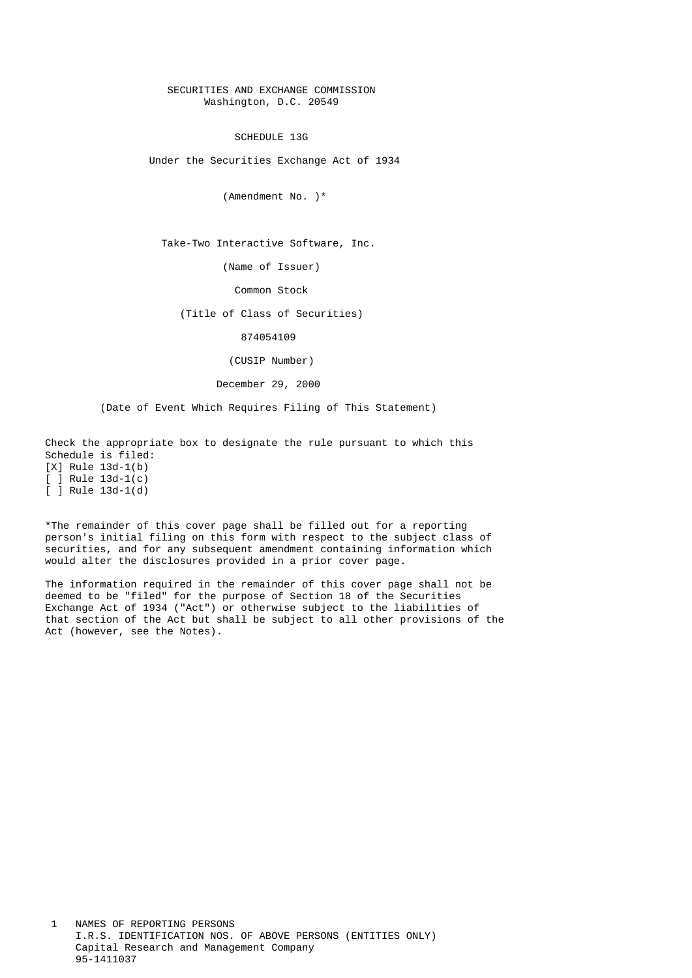## SECURITIES AND EXCHANGE COMMISSION Washington, D.C. 20549

SCHEDULE 13G

Under the Securities Exchange Act of 1934

(Amendment No. )\*

Take-Two Interactive Software, Inc.

(Name of Issuer)

Common Stock

(Title of Class of Securities)

874054109

(CUSIP Number)

December 29, 2000

(Date of Event Which Requires Filing of This Statement)

 Check the appropriate box to designate the rule pursuant to which this Schedule is filed:

 [X] Rule 13d-1(b)  $\overline{)}$   $\overline{)}$  Rule 13d-1(c)  $\overline{)}$   $\overline{)}$  Rule 13d-1(d)

 \*The remainder of this cover page shall be filled out for a reporting person's initial filing on this form with respect to the subject class of securities, and for any subsequent amendment containing information which would alter the disclosures provided in a prior cover page.

 The information required in the remainder of this cover page shall not be deemed to be "filed" for the purpose of Section 18 of the Securities Exchange Act of 1934 ("Act") or otherwise subject to the liabilities of that section of the Act but shall be subject to all other provisions of the Act (however, see the Notes).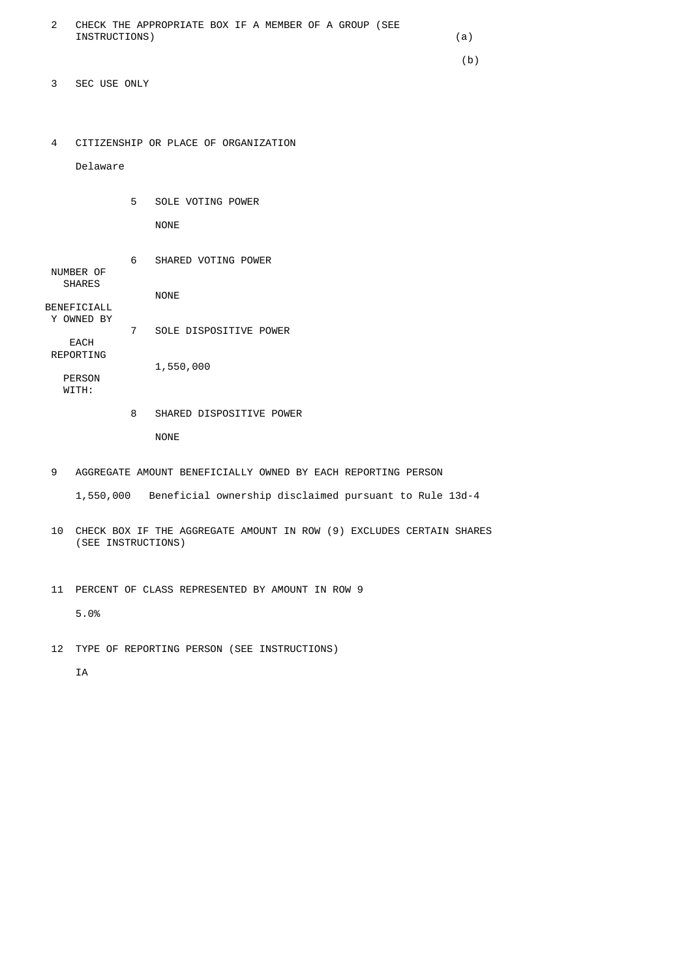| CHECK THE APPROPRIATE BOX IF A MEMBER OF A GROUP (SEE |  |
|-------------------------------------------------------|--|
| INSTRUCTIONS)                                         |  |

 $(b)$ 

- 3 SEC USE ONLY
- 4 CITIZENSHIP OR PLACE OF ORGANIZATION

Delaware

5 SOLE VOTING POWER

NONE

|                    | 6 | SHARED VOTING POWER    |
|--------------------|---|------------------------|
| NUMBER OF          |   |                        |
| <b>SHARES</b>      |   |                        |
|                    |   | <b>NONE</b>            |
| <b>BENEFICIALL</b> |   |                        |
| Y OWNED BY         |   |                        |
|                    |   |                        |
|                    | 7 | SOLE DISPOSITIVE POWER |
| EACH               |   |                        |
| REPORTING          |   |                        |
|                    |   | 1,550,000              |
| <b>PERSON</b>      |   |                        |
| WTTH:              |   |                        |
|                    |   |                        |

# 8 SHARED DISPOSITIVE POWER NONE

- 9 AGGREGATE AMOUNT BENEFICIALLY OWNED BY EACH REPORTING PERSON
	- 1,550,000 Beneficial ownership disclaimed pursuant to Rule 13d-4
- 10 CHECK BOX IF THE AGGREGATE AMOUNT IN ROW (9) EXCLUDES CERTAIN SHARES (SEE INSTRUCTIONS)
- 11 PERCENT OF CLASS REPRESENTED BY AMOUNT IN ROW 9

5.0%

12 TYPE OF REPORTING PERSON (SEE INSTRUCTIONS)

IA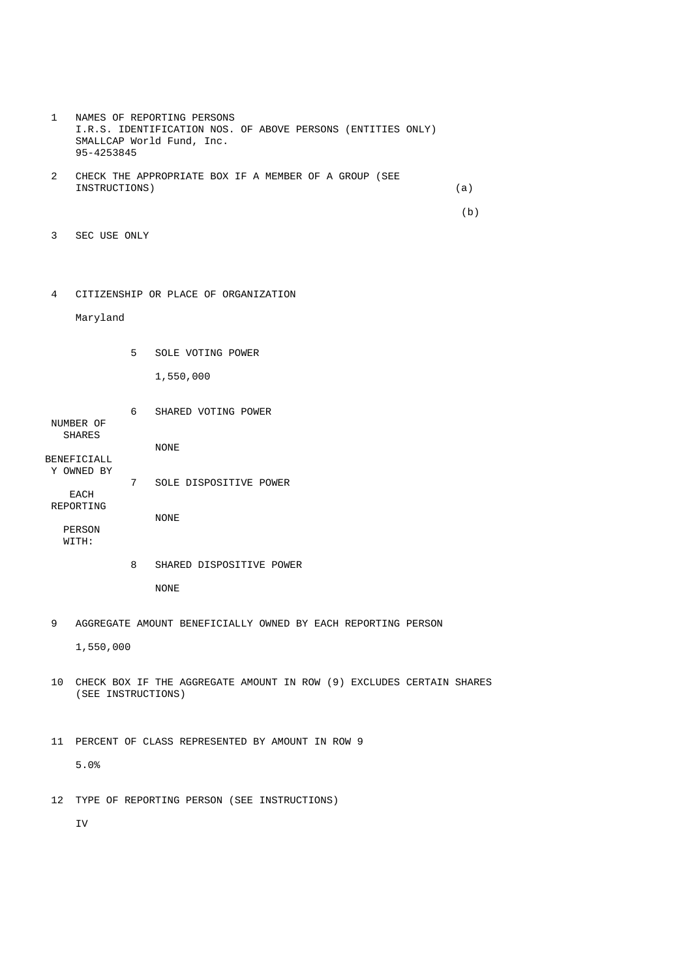- 1 NAMES OF REPORTING PERSONS I.R.S. IDENTIFICATION NOS. OF ABOVE PERSONS (ENTITIES ONLY) SMALLCAP World Fund, Inc. 95-4253845 2 CHECK THE APPROPRIATE BOX IF A MEMBER OF A GROUP (SEE INSTRUCTIONS) (a)  $(b)$  3 SEC USE ONLY
	- 4 CITIZENSHIP OR PLACE OF ORGANIZATION

Maryland

- 5 SOLE VOTING POWER 1,550,000
- 6 SHARED VOTING POWER NUMBER OF SHARES NONE BENEFICIALL Y OWNED BY 7 SOLE DISPOSITIVE POWER **FACH**  REPORTING NONE PERSON WITH:
	- 8 SHARED DISPOSITIVE POWER

NONE

9 AGGREGATE AMOUNT BENEFICIALLY OWNED BY EACH REPORTING PERSON

1,550,000

 10 CHECK BOX IF THE AGGREGATE AMOUNT IN ROW (9) EXCLUDES CERTAIN SHARES (SEE INSTRUCTIONS)

 11 PERCENT OF CLASS REPRESENTED BY AMOUNT IN ROW 9 5.0%

12 TYPE OF REPORTING PERSON (SEE INSTRUCTIONS)

IV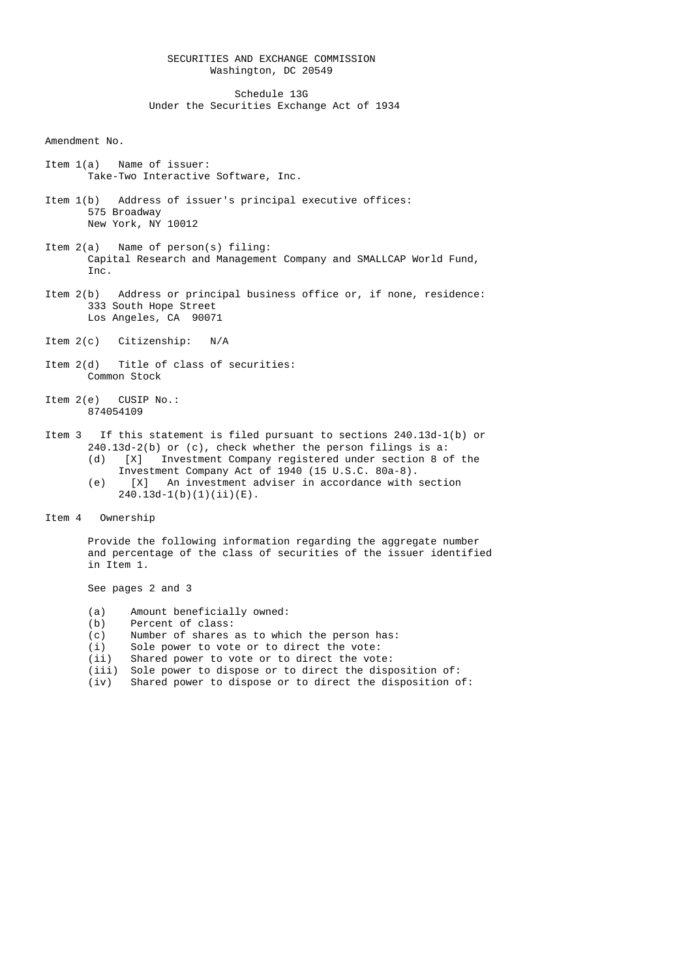## SECURITIES AND EXCHANGE COMMISSION Washington, DC 20549

 Schedule 13G Under the Securities Exchange Act of 1934

#### Amendment No.

- Item 1(a) Name of issuer: Take-Two Interactive Software, Inc.
- Item 1(b) Address of issuer's principal executive offices: 575 Broadway New York, NY 10012
- Item 2(a) Name of person(s) filing: Capital Research and Management Company and SMALLCAP World Fund, Inc.
- Item 2(b) Address or principal business office or, if none, residence: 333 South Hope Street Los Angeles, CA 90071
- Item 2(c) Citizenship: N/A
- Item 2(d) Title of class of securities: Common Stock
- Item 2(e) CUSIP No.: 874054109

# Item 3 If this statement is filed pursuant to sections 240.13d-1(b) or 240.13d-2(b) or (c), check whether the person filings is a:

- (d) [X] Investment Company registered under section 8 of the Investment Company Act of 1940 (15 U.S.C. 80a-8).
	- (e) [X] An investment adviser in accordance with section  $240.13d-1(b)(1)(ii)(E)$ .
	- Item 4 Ownership

 Provide the following information regarding the aggregate number and percentage of the class of securities of the issuer identified in Item 1.

See pages 2 and 3

- (a) Amount beneficially owned:
- (b) Percent of class:<br>(c) Number of shares
- Number of shares as to which the person has:
- (i) Sole power to vote or to direct the vote:<br>(ii) Shared power to vote or to direct the vote
- Shared power to vote or to direct the vote:
- (iii) Sole power to dispose or to direct the disposition of:
- (iv) Shared power to dispose or to direct the disposition of: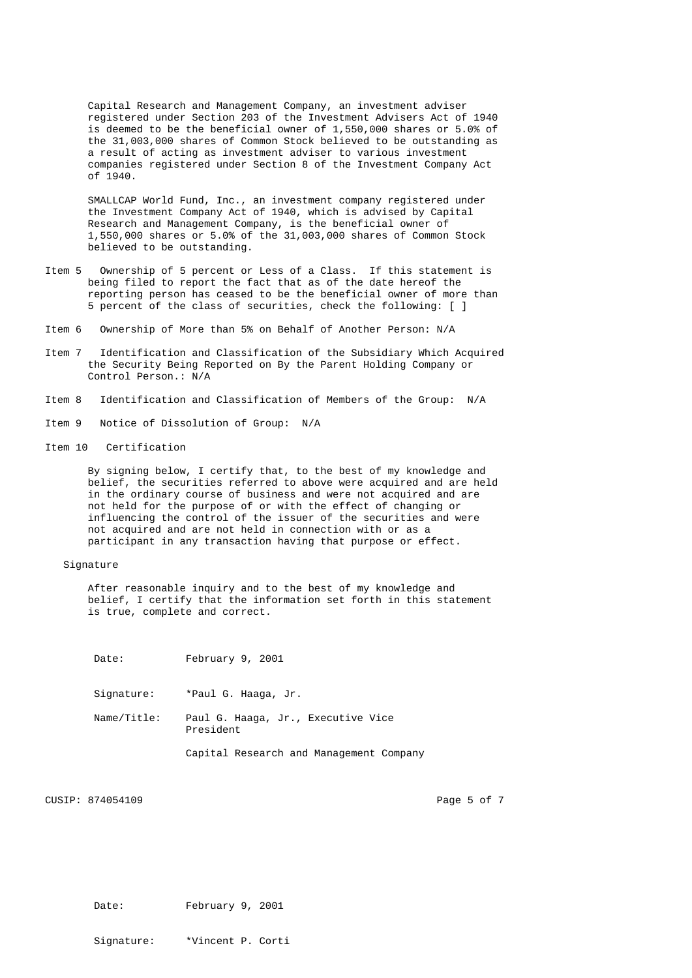Capital Research and Management Company, an investment adviser registered under Section 203 of the Investment Advisers Act of 1940 is deemed to be the beneficial owner of 1,550,000 shares or 5.0% of the 31,003,000 shares of Common Stock believed to be outstanding as a result of acting as investment adviser to various investment companies registered under Section 8 of the Investment Company Act of 1940.

 SMALLCAP World Fund, Inc., an investment company registered under the Investment Company Act of 1940, which is advised by Capital Research and Management Company, is the beneficial owner of 1,550,000 shares or 5.0% of the 31,003,000 shares of Common Stock believed to be outstanding.

- Item 5 Ownership of 5 percent or Less of a Class. If this statement is being filed to report the fact that as of the date hereof the reporting person has ceased to be the beneficial owner of more than 5 percent of the class of securities, check the following: [ ]
- Item 6 Ownership of More than 5% on Behalf of Another Person: N/A
- Item 7 Identification and Classification of the Subsidiary Which Acquired the Security Being Reported on By the Parent Holding Company or Control Person.: N/A
- Item 8 Identification and Classification of Members of the Group: N/A
- Item 9 Notice of Dissolution of Group: N/A
- Item 10 Certification

 By signing below, I certify that, to the best of my knowledge and belief, the securities referred to above were acquired and are held in the ordinary course of business and were not acquired and are not held for the purpose of or with the effect of changing or influencing the control of the issuer of the securities and were not acquired and are not held in connection with or as a participant in any transaction having that purpose or effect.

## Signature

 After reasonable inquiry and to the best of my knowledge and belief, I certify that the information set forth in this statement is true, complete and correct.

| Date: | February 9, 2001 |  |
|-------|------------------|--|
|-------|------------------|--|

Signature: \*Paul G. Haaga, Jr.

 Name/Title: Paul G. Haaga, Jr., Executive Vice President

Capital Research and Management Company

CUSIP: 874054109 Page 5 of 7

Date: February 9, 2001

Signature: \*Vincent P. Corti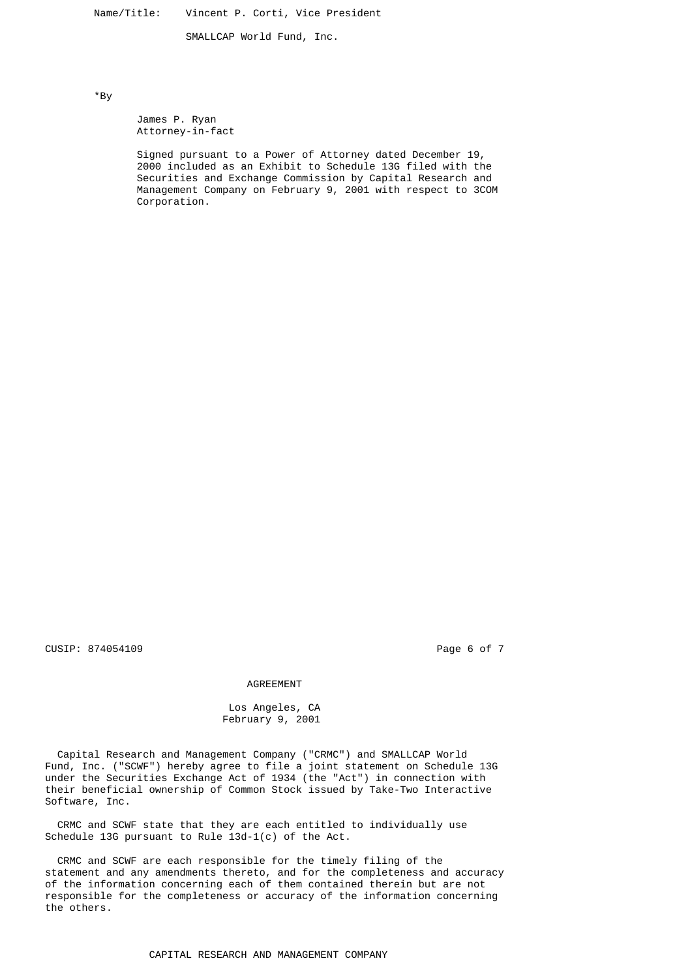Name/Title: Vincent P. Corti, Vice President

SMALLCAP World Fund, Inc.

\*By

 James P. Ryan Attorney-in-fact

 Signed pursuant to a Power of Attorney dated December 19, 2000 included as an Exhibit to Schedule 13G filed with the Securities and Exchange Commission by Capital Research and Management Company on February 9, 2001 with respect to 3COM Corporation.

CUSIP: 874054109 **Page 6 of 7 Page 6 of 7** 

#### AGREEMENT

 Los Angeles, CA February 9, 2001

 Capital Research and Management Company ("CRMC") and SMALLCAP World Fund, Inc. ("SCWF") hereby agree to file a joint statement on Schedule 13G under the Securities Exchange Act of 1934 (the "Act") in connection with their beneficial ownership of Common Stock issued by Take-Two Interactive Software, Inc.

 CRMC and SCWF state that they are each entitled to individually use Schedule 13G pursuant to Rule 13d-1(c) of the Act.

 CRMC and SCWF are each responsible for the timely filing of the statement and any amendments thereto, and for the completeness and accuracy of the information concerning each of them contained therein but are not responsible for the completeness or accuracy of the information concerning the others.